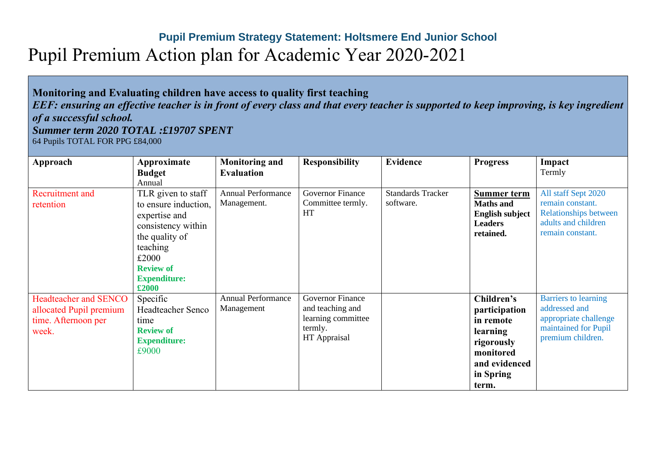## **Pupil Premium Strategy Statement: Holtsmere End Junior School** Pupil Premium Action plan for Academic Year 2020-2021

## **Monitoring and Evaluating children have access to quality first teaching**  *EEF: ensuring an effective teacher is in front of every class and that every teacher is supported to keep improving, is key ingredient of a successful school. Summer term 2020 TOTAL :£19707 SPENT* 64 Pupils TOTAL FOR PPG £84,000

| Approach                                                                                | Approximate                                                                                                                                                         | <b>Monitoring and</b>                    | <b>Responsibility</b>                                                                        | <b>Evidence</b>                       | <b>Progress</b>                                                                                                        | Impact                                                                                                             |
|-----------------------------------------------------------------------------------------|---------------------------------------------------------------------------------------------------------------------------------------------------------------------|------------------------------------------|----------------------------------------------------------------------------------------------|---------------------------------------|------------------------------------------------------------------------------------------------------------------------|--------------------------------------------------------------------------------------------------------------------|
|                                                                                         | <b>Budget</b>                                                                                                                                                       | <b>Evaluation</b>                        |                                                                                              |                                       |                                                                                                                        | Termly                                                                                                             |
|                                                                                         | Annual                                                                                                                                                              |                                          |                                                                                              |                                       |                                                                                                                        |                                                                                                                    |
| Recruitment and<br>retention                                                            | TLR given to staff<br>to ensure induction,<br>expertise and<br>consistency within<br>the quality of<br>teaching<br>£2000<br><b>Review of</b><br><b>Expenditure:</b> | <b>Annual Performance</b><br>Management. | <b>Governor Finance</b><br>Committee termly.<br>HT                                           | <b>Standards Tracker</b><br>software. | <b>Summer term</b><br><b>Maths and</b><br><b>English subject</b><br><b>Leaders</b><br>retained.                        | All staff Sept 2020<br>remain constant.<br><b>Relationships between</b><br>adults and children<br>remain constant. |
| <b>Headteacher and SENCO</b><br>allocated Pupil premium<br>time. Afternoon per<br>week. | $\pounds 2000$<br>Specific<br><b>Headteacher Senco</b><br>time<br><b>Review of</b><br><b>Expenditure:</b><br>£9000                                                  | <b>Annual Performance</b><br>Management  | <b>Governor Finance</b><br>and teaching and<br>learning committee<br>termly.<br>HT Appraisal |                                       | Children's<br>participation<br>in remote<br>learning<br>rigorously<br>monitored<br>and evidenced<br>in Spring<br>term. | <b>Barriers</b> to learning<br>addressed and<br>appropriate challenge<br>maintained for Pupil<br>premium children. |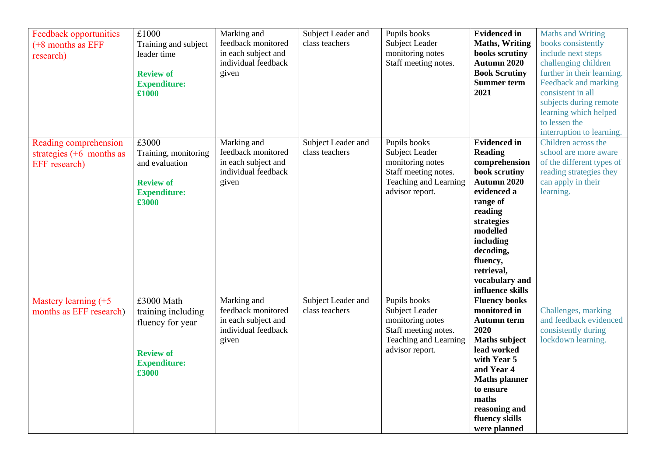| <b>Feedback opportunities</b><br>$(+8$ months as EFF<br>research)    | £1000<br>Training and subject<br>leader time<br><b>Review of</b><br><b>Expenditure:</b><br>£1000         | Marking and<br>feedback monitored<br>in each subject and<br>individual feedback<br>given | Subject Leader and<br>class teachers | Pupils books<br>Subject Leader<br>monitoring notes<br>Staff meeting notes.                                             | <b>Evidenced in</b><br><b>Maths, Writing</b><br>books scrutiny<br>Autumn 2020<br><b>Book Scrutiny</b><br><b>Summer term</b><br>2021                                                                                                              | Maths and Writing<br>books consistently<br>include next steps<br>challenging children<br>further in their learning.<br>Feedback and marking<br>consistent in all<br>subjects during remote<br>learning which helped<br>to lessen the<br>interruption to learning. |
|----------------------------------------------------------------------|----------------------------------------------------------------------------------------------------------|------------------------------------------------------------------------------------------|--------------------------------------|------------------------------------------------------------------------------------------------------------------------|--------------------------------------------------------------------------------------------------------------------------------------------------------------------------------------------------------------------------------------------------|-------------------------------------------------------------------------------------------------------------------------------------------------------------------------------------------------------------------------------------------------------------------|
| Reading comprehension<br>strategies $(+6$ months as<br>EFF research) | £3000<br>Training, monitoring<br>and evaluation<br><b>Review of</b><br><b>Expenditure:</b><br>£3000      | Marking and<br>feedback monitored<br>in each subject and<br>individual feedback<br>given | Subject Leader and<br>class teachers | Pupils books<br>Subject Leader<br>monitoring notes<br>Staff meeting notes.<br>Teaching and Learning<br>advisor report. | <b>Evidenced</b> in<br><b>Reading</b><br>comprehension<br>book scrutiny<br>Autumn 2020<br>evidenced a<br>range of<br>reading<br>strategies<br>modelled<br>including<br>decoding,<br>fluency,<br>retrieval,<br>vocabulary and<br>influence skills | Children across the<br>school are more aware<br>of the different types of<br>reading strategies they<br>can apply in their<br>learning.                                                                                                                           |
| Mastery learning (+5<br>months as EFF research)                      | £3000 Math<br>training including<br>fluency for year<br><b>Review of</b><br><b>Expenditure:</b><br>£3000 | Marking and<br>feedback monitored<br>in each subject and<br>individual feedback<br>given | Subject Leader and<br>class teachers | Pupils books<br>Subject Leader<br>monitoring notes<br>Staff meeting notes.<br>Teaching and Learning<br>advisor report. | <b>Fluency books</b><br>monitored in<br><b>Autumn term</b><br>2020<br><b>Maths subject</b><br>lead worked<br>with Year 5<br>and Year 4<br><b>Maths</b> planner<br>to ensure<br>maths<br>reasoning and<br>fluency skills<br>were planned          | Challenges, marking<br>and feedback evidenced<br>consistently during<br>lockdown learning.                                                                                                                                                                        |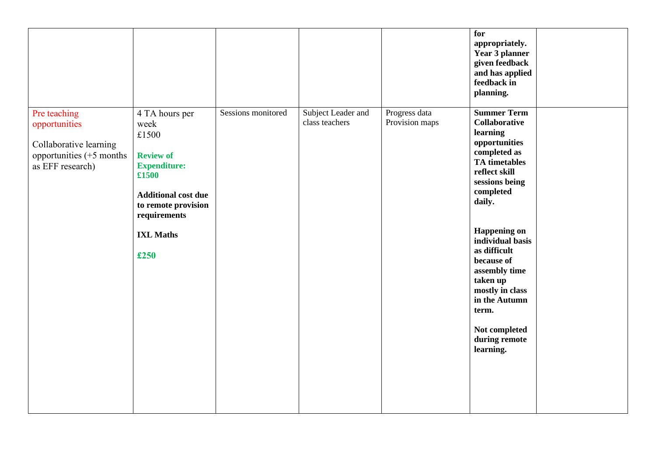|                                                                                                           |                                                                                                                                                                                      |                    |                                      |                                 | for<br>appropriately.<br>Year 3 planner<br>given feedback<br>and has applied<br>feedback in<br>planning.                                                                                                                                                                                                                                                                    |  |
|-----------------------------------------------------------------------------------------------------------|--------------------------------------------------------------------------------------------------------------------------------------------------------------------------------------|--------------------|--------------------------------------|---------------------------------|-----------------------------------------------------------------------------------------------------------------------------------------------------------------------------------------------------------------------------------------------------------------------------------------------------------------------------------------------------------------------------|--|
| Pre teaching<br>opportunities<br>Collaborative learning<br>opportunities $(+5$ months<br>as EFF research) | 4 TA hours per<br>week<br>£1500<br><b>Review of</b><br><b>Expenditure:</b><br>£1500<br><b>Additional cost due</b><br>to remote provision<br>requirements<br><b>IXL Maths</b><br>£250 | Sessions monitored | Subject Leader and<br>class teachers | Progress data<br>Provision maps | <b>Summer Term</b><br><b>Collaborative</b><br>learning<br>opportunities<br>completed as<br><b>TA</b> timetables<br>reflect skill<br>sessions being<br>completed<br>daily.<br><b>Happening on</b><br>individual basis<br>as difficult<br>because of<br>assembly time<br>taken up<br>mostly in class<br>in the Autumn<br>term.<br>Not completed<br>during remote<br>learning. |  |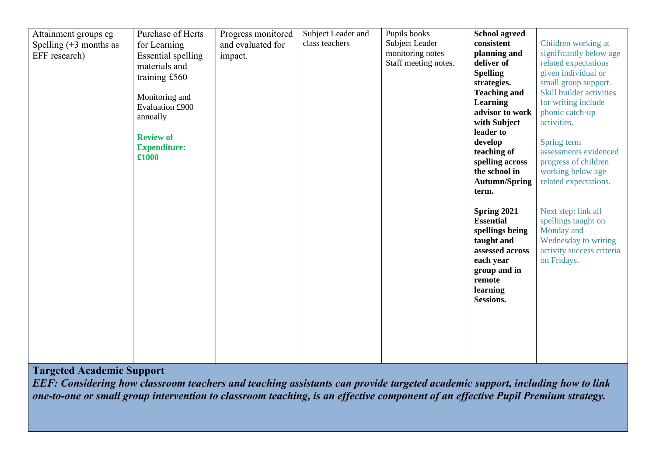| Attainment groups eg<br>Spelling $(+3$ months as<br>EFF research) | Purchase of Herts<br>for Learning<br><b>Essential spelling</b><br>materials and<br>training £560<br>Monitoring and<br>Evaluation £900<br>annually<br><b>Review of</b><br><b>Expenditure:</b><br>£1000 | Progress monitored<br>and evaluated for<br>impact. | Subject Leader and<br>class teachers | Pupils books<br>Subject Leader<br>monitoring notes<br>Staff meeting notes. | <b>School agreed</b><br>consistent<br>planning and<br>deliver of<br><b>Spelling</b><br>strategies.<br><b>Teaching and</b><br><b>Learning</b><br>advisor to work<br>with Subject<br>leader to<br>develop<br>teaching of<br>spelling across<br>the school in<br><b>Autumn/Spring</b><br>term.<br>Spring 2021<br><b>Essential</b> | Children working at<br>significantly below age<br>related expectations<br>given individual or<br>small group support.<br>Skill builder activities<br>for writing include<br>phonic catch-up<br>activities.<br>Spring term<br>assessments evidenced<br>progress of children<br>working below age<br>related expectations.<br>Next step: link all<br>spellings taught on |
|-------------------------------------------------------------------|-------------------------------------------------------------------------------------------------------------------------------------------------------------------------------------------------------|----------------------------------------------------|--------------------------------------|----------------------------------------------------------------------------|--------------------------------------------------------------------------------------------------------------------------------------------------------------------------------------------------------------------------------------------------------------------------------------------------------------------------------|------------------------------------------------------------------------------------------------------------------------------------------------------------------------------------------------------------------------------------------------------------------------------------------------------------------------------------------------------------------------|
|                                                                   |                                                                                                                                                                                                       |                                                    |                                      |                                                                            | spellings being<br>taught and<br>assessed across<br>each year<br>group and in<br>remote<br>learning<br>Sessions.                                                                                                                                                                                                               | Monday and<br>Wednesday to writing<br>activity success criteria<br>on Fridays.                                                                                                                                                                                                                                                                                         |

## **Targeted Academic Support**

*EEF: Considering how classroom teachers and teaching assistants can provide targeted academic support, including how to link one-to-one or small group intervention to classroom teaching, is an effective component of an effective Pupil Premium strategy.*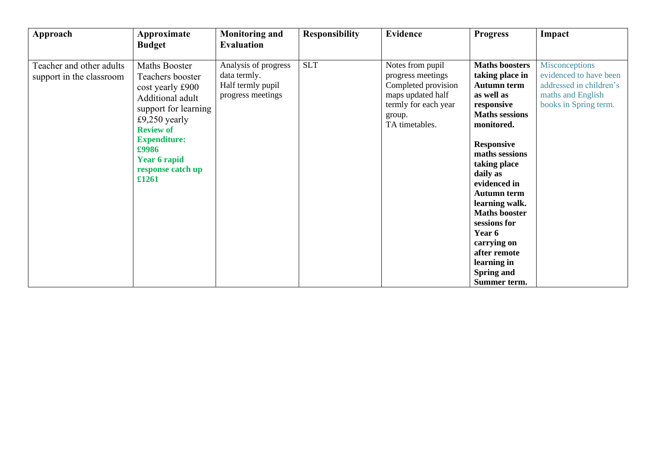| Approach                                             | Approximate<br><b>Budget</b>                                                                                                                                                                                                | <b>Monitoring and</b><br><b>Evaluation</b>                                     | <b>Responsibility</b> | <b>Evidence</b>                                                                                                                       | <b>Progress</b>                                                                                                                                                                                                                                                                                                                                                                                   | Impact                                                                                                                   |
|------------------------------------------------------|-----------------------------------------------------------------------------------------------------------------------------------------------------------------------------------------------------------------------------|--------------------------------------------------------------------------------|-----------------------|---------------------------------------------------------------------------------------------------------------------------------------|---------------------------------------------------------------------------------------------------------------------------------------------------------------------------------------------------------------------------------------------------------------------------------------------------------------------------------------------------------------------------------------------------|--------------------------------------------------------------------------------------------------------------------------|
| Teacher and other adults<br>support in the classroom | Maths Booster<br>Teachers booster<br>cost yearly £900<br>Additional adult<br>support for learning<br>£9,250 yearly<br><b>Review of</b><br><b>Expenditure:</b><br>£9986<br><b>Year 6 rapid</b><br>response catch up<br>£1261 | Analysis of progress<br>data termly.<br>Half termly pupil<br>progress meetings | <b>SLT</b>            | Notes from pupil<br>progress meetings<br>Completed provision<br>maps updated half<br>termly for each year<br>group.<br>TA timetables. | <b>Maths boosters</b><br>taking place in<br><b>Autumn term</b><br>as well as<br>responsive<br><b>Maths sessions</b><br>monitored.<br><b>Responsive</b><br>maths sessions<br>taking place<br>daily as<br>evidenced in<br><b>Autumn term</b><br>learning walk.<br><b>Maths booster</b><br>sessions for<br>Year 6<br>carrying on<br>after remote<br>learning in<br><b>Spring and</b><br>Summer term. | <b>Misconceptions</b><br>evidenced to have been<br>addressed in children's<br>maths and English<br>books in Spring term. |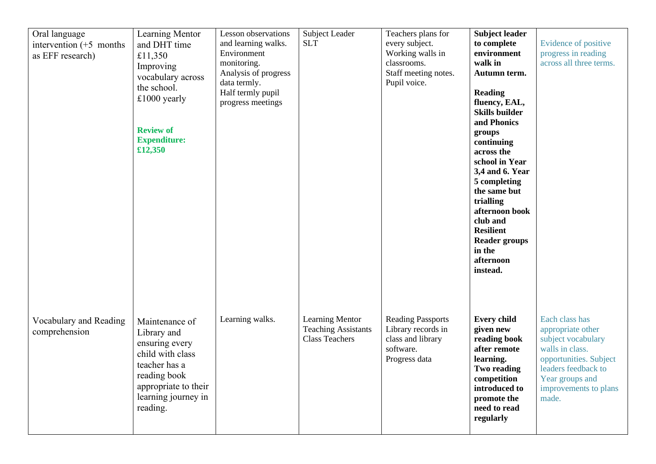| Oral language<br>intervention $(+5$ months<br>as EFF research) | Learning Mentor<br>and DHT time<br>£11,350<br>Improving<br>vocabulary across<br>the school.<br>$£1000$ yearly<br><b>Review of</b><br><b>Expenditure:</b><br>£12,350 | Lesson observations<br>and learning walks.<br>Environment<br>monitoring.<br>Analysis of progress<br>data termly.<br>Half termly pupil<br>progress meetings | Subject Leader<br><b>SLT</b>                                                  | Teachers plans for<br>every subject.<br>Working walls in<br>classrooms.<br>Staff meeting notes.<br>Pupil voice. | <b>Subject leader</b><br>to complete<br>environment<br>walk in<br>Autumn term.<br><b>Reading</b><br>fluency, EAL,<br><b>Skills builder</b><br>and Phonics<br>groups<br>continuing<br>across the<br>school in Year<br>3,4 and 6. Year<br>5 completing<br>the same but<br>trialling<br>afternoon book<br>club and<br><b>Resilient</b><br><b>Reader groups</b><br>in the<br>afternoon<br>instead. | Evidence of positive<br>progress in reading<br>across all three terms.                                                                                                             |
|----------------------------------------------------------------|---------------------------------------------------------------------------------------------------------------------------------------------------------------------|------------------------------------------------------------------------------------------------------------------------------------------------------------|-------------------------------------------------------------------------------|-----------------------------------------------------------------------------------------------------------------|------------------------------------------------------------------------------------------------------------------------------------------------------------------------------------------------------------------------------------------------------------------------------------------------------------------------------------------------------------------------------------------------|------------------------------------------------------------------------------------------------------------------------------------------------------------------------------------|
| Vocabulary and Reading<br>comprehension                        | Maintenance of<br>Library and<br>ensuring every<br>child with class<br>teacher has a<br>reading book<br>appropriate to their<br>learning journey in<br>reading.     | Learning walks.                                                                                                                                            | <b>Learning Mentor</b><br><b>Teaching Assistants</b><br><b>Class Teachers</b> | <b>Reading Passports</b><br>Library records in<br>class and library<br>software.<br>Progress data               | <b>Every child</b><br>given new<br>reading book<br>after remote<br>learning.<br>Two reading<br>competition<br>introduced to<br>promote the<br>need to read<br>regularly                                                                                                                                                                                                                        | Each class has<br>appropriate other<br>subject vocabulary<br>walls in class.<br>opportunities. Subject<br>leaders feedback to<br>Year groups and<br>improvements to plans<br>made. |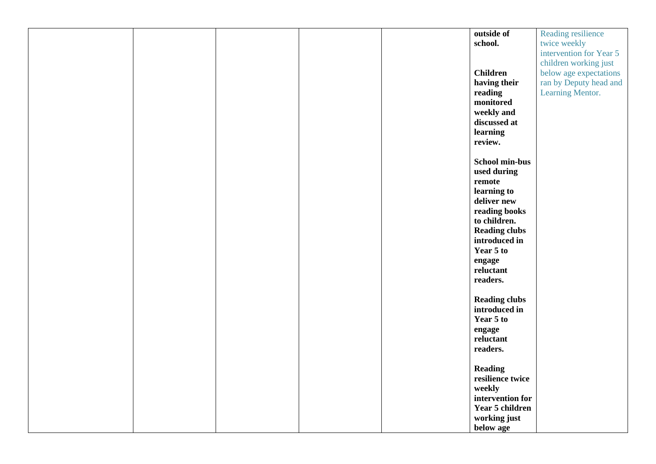|  |  | outside of            | Reading resilience      |
|--|--|-----------------------|-------------------------|
|  |  | school.               | twice weekly            |
|  |  |                       | intervention for Year 5 |
|  |  |                       | children working just   |
|  |  |                       |                         |
|  |  | <b>Children</b>       | below age expectations  |
|  |  | having their          | ran by Deputy head and  |
|  |  | reading               | Learning Mentor.        |
|  |  | monitored             |                         |
|  |  | weekly and            |                         |
|  |  |                       |                         |
|  |  | discussed at          |                         |
|  |  | learning              |                         |
|  |  | review.               |                         |
|  |  |                       |                         |
|  |  | <b>School min-bus</b> |                         |
|  |  | used during           |                         |
|  |  |                       |                         |
|  |  | remote                |                         |
|  |  | learning to           |                         |
|  |  | deliver new           |                         |
|  |  | reading books         |                         |
|  |  | to children.          |                         |
|  |  | <b>Reading clubs</b>  |                         |
|  |  |                       |                         |
|  |  | introduced in         |                         |
|  |  | Year 5 to             |                         |
|  |  | engage                |                         |
|  |  | reluctant             |                         |
|  |  | readers.              |                         |
|  |  |                       |                         |
|  |  |                       |                         |
|  |  | <b>Reading clubs</b>  |                         |
|  |  | introduced in         |                         |
|  |  | Year 5 to             |                         |
|  |  | engage                |                         |
|  |  | reluctant             |                         |
|  |  | readers.              |                         |
|  |  |                       |                         |
|  |  |                       |                         |
|  |  | <b>Reading</b>        |                         |
|  |  | resilience twice      |                         |
|  |  | weekly                |                         |
|  |  | intervention for      |                         |
|  |  | Year 5 children       |                         |
|  |  | working just          |                         |
|  |  |                       |                         |
|  |  | below age             |                         |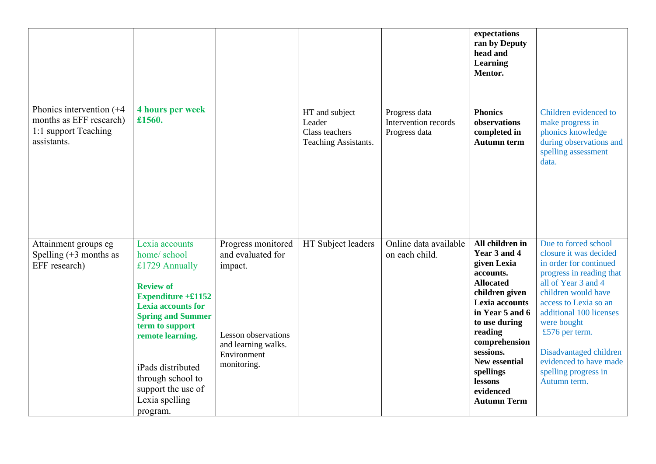| Phonics intervention $(+4)$<br>months as EFF research)<br>1:1 support Teaching<br>assistants. | <b>4 hours per week</b><br>£1560.                                                                                                                                                                                                                                                         |                                                                                                                                       | HT and subject<br>Leader<br>Class teachers<br>Teaching Assistants. | Progress data<br>Intervention records<br>Progress data | expectations<br>ran by Deputy<br>head and<br><b>Learning</b><br>Mentor.<br><b>Phonics</b><br>observations<br>completed in<br><b>Autumn term</b>                                                                                                                                     | Children evidenced to<br>make progress in<br>phonics knowledge<br>during observations and<br>spelling assessment<br>data.                                                                                                                                                                                                           |
|-----------------------------------------------------------------------------------------------|-------------------------------------------------------------------------------------------------------------------------------------------------------------------------------------------------------------------------------------------------------------------------------------------|---------------------------------------------------------------------------------------------------------------------------------------|--------------------------------------------------------------------|--------------------------------------------------------|-------------------------------------------------------------------------------------------------------------------------------------------------------------------------------------------------------------------------------------------------------------------------------------|-------------------------------------------------------------------------------------------------------------------------------------------------------------------------------------------------------------------------------------------------------------------------------------------------------------------------------------|
| Attainment groups eg<br>Spelling $(+3$ months as<br>EFF research)                             | Lexia accounts<br>home/school<br>£1729 Annually<br><b>Review of</b><br>Expenditure $+£1152$<br><b>Lexia accounts for</b><br><b>Spring and Summer</b><br>term to support<br>remote learning.<br>iPads distributed<br>through school to<br>support the use of<br>Lexia spelling<br>program. | Progress monitored<br>and evaluated for<br>impact.<br><b>Lesson</b> observations<br>and learning walks.<br>Environment<br>monitoring. | HT Subject leaders                                                 | Online data available<br>on each child.                | All children in<br>Year 3 and 4<br>given Lexia<br>accounts.<br><b>Allocated</b><br>children given<br>Lexia accounts<br>in Year 5 and 6<br>to use during<br>reading<br>comprehension<br>sessions.<br><b>New essential</b><br>spellings<br>lessons<br>evidenced<br><b>Autumn Term</b> | Due to forced school<br>closure it was decided<br>in order for continued<br>progress in reading that<br>all of Year 3 and 4<br>children would have<br>access to Lexia so an<br>additional 100 licenses<br>were bought<br>£576 per term.<br>Disadvantaged children<br>evidenced to have made<br>spelling progress in<br>Autumn term. |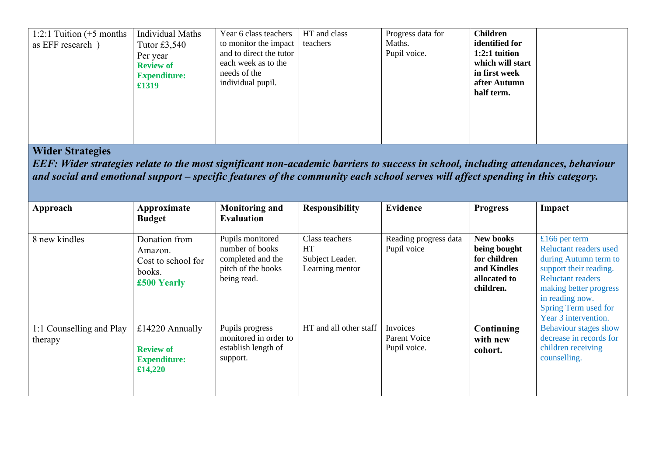| 1:2:1 Tuition $(+5$ months<br>as EFF research) | Individual Maths<br>Tutor $£3,540$<br>Per year<br><b>Review of</b><br><b>Expenditure:</b><br>£1319 | Year 6 class teachers<br>to monitor the impact<br>and to direct the tutor<br>each week as to the<br>needs of the<br>individual pupil. | HT and class<br>teachers | Progress data for<br>Maths.<br>Pupil voice. | <b>Children</b><br>identified for<br>$1:2:1$ tuition<br>which will start<br>in first week<br>after Autumn<br>half term. |  |
|------------------------------------------------|----------------------------------------------------------------------------------------------------|---------------------------------------------------------------------------------------------------------------------------------------|--------------------------|---------------------------------------------|-------------------------------------------------------------------------------------------------------------------------|--|
|------------------------------------------------|----------------------------------------------------------------------------------------------------|---------------------------------------------------------------------------------------------------------------------------------------|--------------------------|---------------------------------------------|-------------------------------------------------------------------------------------------------------------------------|--|

## **Wider Strategies**

*EEF: Wider strategies relate to the most significant non-academic barriers to success in school, including attendances, behaviour and social and emotional support – specific features of the community each school serves will affect spending in this category.* 

| Approach                            | Approximate<br><b>Budget</b>                                            | <b>Monitoring and</b><br><b>Evaluation</b>                                                    | <b>Responsibility</b>                                             | <b>Evidence</b>                          | <b>Progress</b>                                                                              | Impact                                                                                                                                                                                                                     |
|-------------------------------------|-------------------------------------------------------------------------|-----------------------------------------------------------------------------------------------|-------------------------------------------------------------------|------------------------------------------|----------------------------------------------------------------------------------------------|----------------------------------------------------------------------------------------------------------------------------------------------------------------------------------------------------------------------------|
| 8 new kindles                       | Donation from<br>Amazon.<br>Cost to school for<br>books.<br>£500 Yearly | Pupils monitored<br>number of books<br>completed and the<br>pitch of the books<br>being read. | Class teachers<br><b>HT</b><br>Subject Leader.<br>Learning mentor | Reading progress data<br>Pupil voice     | <b>New books</b><br>being bought<br>for children<br>and Kindles<br>allocated to<br>children. | £166 per term<br><b>Reluctant readers used</b><br>during Autumn term to<br>support their reading.<br><b>Reluctant readers</b><br>making better progress<br>in reading now.<br>Spring Term used for<br>Year 3 intervention. |
| 1:1 Counselling and Play<br>therapy | £14220 Annually<br><b>Review of</b><br><b>Expenditure:</b><br>£14,220   | Pupils progress<br>monitored in order to<br>establish length of<br>support.                   | HT and all other staff                                            | Invoices<br>Parent Voice<br>Pupil voice. | Continuing<br>with new<br>cohort.                                                            | Behaviour stages show<br>decrease in records for<br>children receiving<br>counselling.                                                                                                                                     |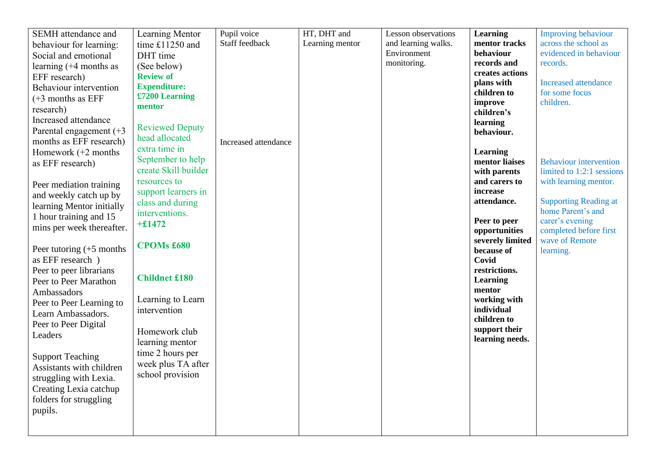| SEMH attendance and        | Learning Mentor        | Pupil voice          | HT, DHT and     | Lesson observations | <b>Learning</b>               | <b>Improving behaviour</b>                |
|----------------------------|------------------------|----------------------|-----------------|---------------------|-------------------------------|-------------------------------------------|
| behaviour for learning:    | time £11250 and        | Staff feedback       | Learning mentor | and learning walks. | mentor tracks                 | across the school as                      |
| Social and emotional       | DHT time               |                      |                 | Environment         | behaviour                     | evidenced in behaviour                    |
| learning (+4 months as     | (See below)            |                      |                 | monitoring.         | records and                   | records.                                  |
| EFF research)              | <b>Review of</b>       |                      |                 |                     | creates actions               |                                           |
| Behaviour intervention     | <b>Expenditure:</b>    |                      |                 |                     | plans with                    | <b>Increased</b> attendance               |
|                            | £7200 Learning         |                      |                 |                     | children to                   | for some focus                            |
| $(+3$ months as EFF        | mentor                 |                      |                 |                     | improve                       | children.                                 |
| research)                  |                        |                      |                 |                     | children's                    |                                           |
| Increased attendance       | <b>Reviewed Deputy</b> |                      |                 |                     | learning                      |                                           |
| Parental engagement $(+3)$ | head allocated         |                      |                 |                     | behaviour.                    |                                           |
| months as EFF research)    | extra time in          | Increased attendance |                 |                     |                               |                                           |
| Homework $(+2$ months      |                        |                      |                 |                     | <b>Learning</b>               |                                           |
| as EFF research)           | September to help      |                      |                 |                     | mentor liaises                | <b>Behaviour intervention</b>             |
|                            | create Skill builder   |                      |                 |                     | with parents                  | limited to 1:2:1 sessions                 |
| Peer mediation training    | resources to           |                      |                 |                     | and carers to                 | with learning mentor.                     |
| and weekly catch up by     | support learners in    |                      |                 |                     | increase                      |                                           |
| learning Mentor initially  | class and during       |                      |                 |                     | attendance.                   | <b>Supporting Reading at</b>              |
| 1 hour training and 15     | interventions.         |                      |                 |                     |                               | home Parent's and                         |
| mins per week thereafter.  | $+£1472$               |                      |                 |                     | Peer to peer<br>opportunities | carer's evening<br>completed before first |
|                            |                        |                      |                 |                     | severely limited              | wave of Remote                            |
| Peer tutoring $(+5$ months | <b>CPOMs £680</b>      |                      |                 |                     | because of                    | learning.                                 |
| as EFF research )          |                        |                      |                 |                     | Covid                         |                                           |
| Peer to peer librarians    |                        |                      |                 |                     | restrictions.                 |                                           |
| Peer to Peer Marathon      | <b>Childnet £180</b>   |                      |                 |                     | <b>Learning</b>               |                                           |
|                            |                        |                      |                 |                     | mentor                        |                                           |
| Ambassadors                | Learning to Learn      |                      |                 |                     | working with                  |                                           |
| Peer to Peer Learning to   | intervention           |                      |                 |                     | individual                    |                                           |
| Learn Ambassadors.         |                        |                      |                 |                     | children to                   |                                           |
| Peer to Peer Digital       | Homework club          |                      |                 |                     | support their                 |                                           |
| Leaders                    | learning mentor        |                      |                 |                     | learning needs.               |                                           |
|                            | time 2 hours per       |                      |                 |                     |                               |                                           |
| <b>Support Teaching</b>    | week plus TA after     |                      |                 |                     |                               |                                           |
| Assistants with children   |                        |                      |                 |                     |                               |                                           |
| struggling with Lexia.     | school provision       |                      |                 |                     |                               |                                           |
| Creating Lexia catchup     |                        |                      |                 |                     |                               |                                           |
| folders for struggling     |                        |                      |                 |                     |                               |                                           |
| pupils.                    |                        |                      |                 |                     |                               |                                           |
|                            |                        |                      |                 |                     |                               |                                           |
|                            |                        |                      |                 |                     |                               |                                           |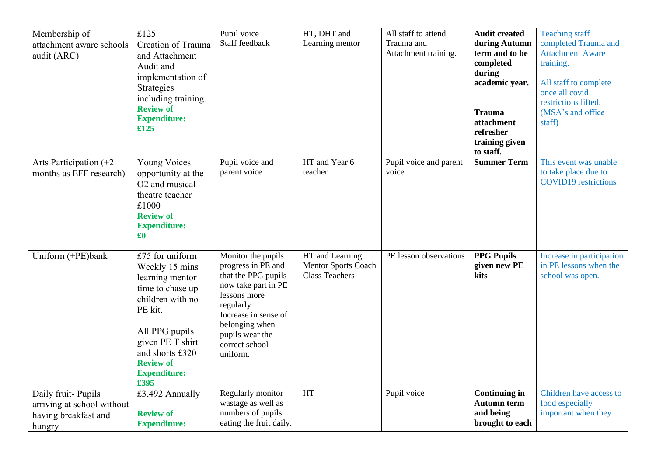| Membership of<br>attachment aware schools<br>audit (ARC)                           | £125<br>Creation of Trauma<br>and Attachment<br>Audit and<br>implementation of<br>Strategies<br>including training.<br><b>Review of</b><br><b>Expenditure:</b><br>£125                                              | Pupil voice<br>Staff feedback                                                                                                                                                                                   | HT, DHT and<br>Learning mentor                                         | All staff to attend<br>Trauma and<br>Attachment training. | <b>Audit created</b><br>during Autumn<br>term and to be<br>completed<br>during<br>academic year.<br><b>Trauma</b><br>attachment<br>refresher<br>training given<br>to staff. | <b>Teaching staff</b><br>completed Trauma and<br><b>Attachment Aware</b><br>training.<br>All staff to complete<br>once all covid<br>restrictions lifted.<br>(MSA's and office)<br>staff) |
|------------------------------------------------------------------------------------|---------------------------------------------------------------------------------------------------------------------------------------------------------------------------------------------------------------------|-----------------------------------------------------------------------------------------------------------------------------------------------------------------------------------------------------------------|------------------------------------------------------------------------|-----------------------------------------------------------|-----------------------------------------------------------------------------------------------------------------------------------------------------------------------------|------------------------------------------------------------------------------------------------------------------------------------------------------------------------------------------|
| Arts Participation $(+2)$<br>months as EFF research)                               | <b>Young Voices</b><br>opportunity at the<br>O2 and musical<br>theatre teacher<br>£1000<br><b>Review of</b><br><b>Expenditure:</b><br>$\pmb{\pmb{\pmb{\epsilon}}$                                                   | Pupil voice and<br>parent voice                                                                                                                                                                                 | HT and Year 6<br>teacher                                               | Pupil voice and parent<br>voice                           | <b>Summer Term</b>                                                                                                                                                          | This event was unable<br>to take place due to<br><b>COVID19</b> restrictions                                                                                                             |
| Uniform (+PE)bank                                                                  | £75 for uniform<br>Weekly 15 mins<br>learning mentor<br>time to chase up<br>children with no<br>PE kit.<br>All PPG pupils<br>given PE T shirt<br>and shorts £320<br><b>Review of</b><br><b>Expenditure:</b><br>£395 | Monitor the pupils<br>progress in PE and<br>that the PPG pupils<br>now take part in PE<br>lessons more<br>regularly.<br>Increase in sense of<br>belonging when<br>pupils wear the<br>correct school<br>uniform. | HT and Learning<br><b>Mentor Sports Coach</b><br><b>Class Teachers</b> | PE lesson observations                                    | <b>PPG Pupils</b><br>given new PE<br>kits                                                                                                                                   | Increase in participation<br>in PE lessons when the<br>school was open.                                                                                                                  |
| Daily fruit-Pupils<br>arriving at school without<br>having breakfast and<br>hungry | £3,492 Annually<br><b>Review of</b><br><b>Expenditure:</b>                                                                                                                                                          | Regularly monitor<br>wastage as well as<br>numbers of pupils<br>eating the fruit daily.                                                                                                                         | <b>HT</b>                                                              | Pupil voice                                               | <b>Continuing in</b><br><b>Autumn term</b><br>and being<br>brought to each                                                                                                  | Children have access to<br>food especially<br>important when they                                                                                                                        |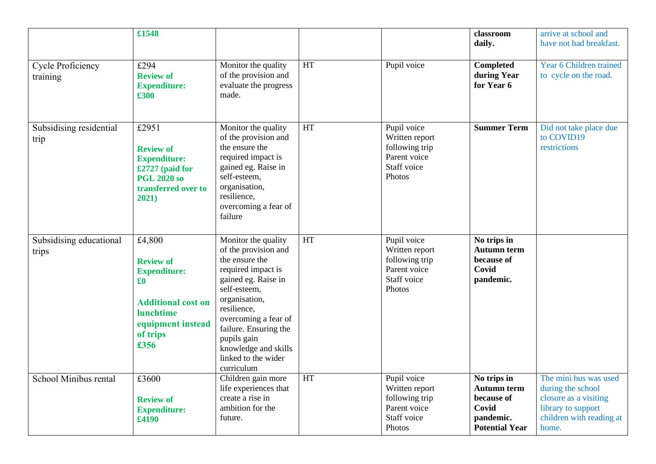|                                      | £1548                                                                                                                                                                    |                                                                                                                                                                                                                                                                                         |    |                                                                                          | classroom<br>daily.                                                                            | arrive at school and<br>have not had breakfast.                                                                                |
|--------------------------------------|--------------------------------------------------------------------------------------------------------------------------------------------------------------------------|-----------------------------------------------------------------------------------------------------------------------------------------------------------------------------------------------------------------------------------------------------------------------------------------|----|------------------------------------------------------------------------------------------|------------------------------------------------------------------------------------------------|--------------------------------------------------------------------------------------------------------------------------------|
| <b>Cycle Proficiency</b><br>training | £294<br><b>Review of</b><br><b>Expenditure:</b><br>£300                                                                                                                  | Monitor the quality<br>of the provision and<br>evaluate the progress<br>made.                                                                                                                                                                                                           | HT | Pupil voice                                                                              | Completed<br>during Year<br>for Year 6                                                         | Year 6 Children trained<br>to cycle on the road.                                                                               |
| Subsidising residential<br>trip      | £2951<br><b>Review of</b><br><b>Expenditure:</b><br>£2727 (paid for<br><b>PGL 2020 so</b><br>transferred over to<br>2021)                                                | Monitor the quality<br>of the provision and<br>the ensure the<br>required impact is<br>gained eg. Raise in<br>self-esteem,<br>organisation,<br>resilience,<br>overcoming a fear of<br>failure                                                                                           | HT | Pupil voice<br>Written report<br>following trip<br>Parent voice<br>Staff voice<br>Photos | <b>Summer Term</b>                                                                             | Did not take place due<br>to COVID19<br>restrictions                                                                           |
| Subsidising educational<br>trips     | £4,800<br><b>Review of</b><br><b>Expenditure:</b><br>$\pmb{\pmb{\pmb{\mathfrak{g}}}}$<br><b>Additional cost on</b><br>lunchtime<br>equipment instead<br>of trips<br>£356 | Monitor the quality<br>of the provision and<br>the ensure the<br>required impact is<br>gained eg. Raise in<br>self-esteem,<br>organisation,<br>resilience,<br>overcoming a fear of<br>failure. Ensuring the<br>pupils gain<br>knowledge and skills<br>linked to the wider<br>curriculum | HT | Pupil voice<br>Written report<br>following trip<br>Parent voice<br>Staff voice<br>Photos | No trips in<br><b>Autumn term</b><br>because of<br>Covid<br>pandemic.                          |                                                                                                                                |
| School Minibus rental                | £3600<br><b>Review of</b><br><b>Expenditure:</b><br>£4190                                                                                                                | Children gain more<br>life experiences that<br>create a rise in<br>ambition for the<br>future.                                                                                                                                                                                          | HT | Pupil voice<br>Written report<br>following trip<br>Parent voice<br>Staff voice<br>Photos | No trips in<br><b>Autumn term</b><br>because of<br>Covid<br>pandemic.<br><b>Potential Year</b> | The mini bus was used<br>during the school<br>closure as a visiting<br>library to support<br>children with reading at<br>home. |